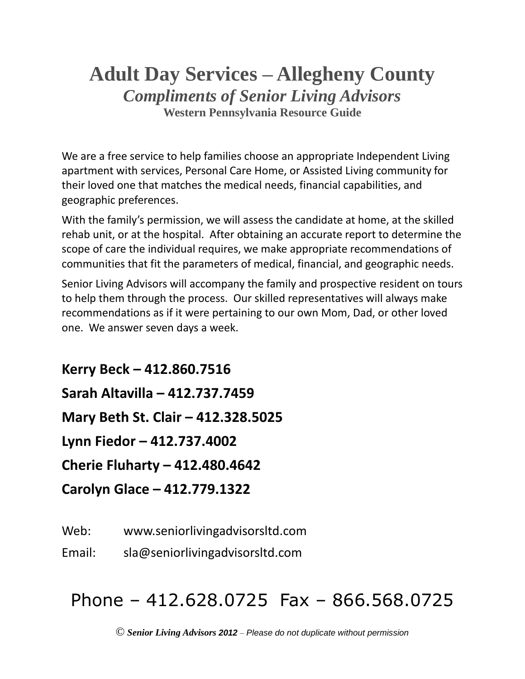## **Adult Day Services – Allegheny County** *Compliments of Senior Living Advisors* **Western Pennsylvania Resource Guide**

We are a free service to help families choose an appropriate Independent Living apartment with services, Personal Care Home, or Assisted Living community for their loved one that matches the medical needs, financial capabilities, and geographic preferences.

With the family's permission, we will assess the candidate at home, at the skilled rehab unit, or at the hospital. After obtaining an accurate report to determine the scope of care the individual requires, we make appropriate recommendations of communities that fit the parameters of medical, financial, and geographic needs.

Senior Living Advisors will accompany the family and prospective resident on tours to help them through the process. Our skilled representatives will always make recommendations as if it were pertaining to our own Mom, Dad, or other loved one. We answer seven days a week.

**Kerry Beck – 412.860.7516 Sarah Altavilla – 412.737.7459 Mary Beth St. Clair – 412.328.5025 Lynn Fiedor – 412.737.4002 Cherie Fluharty – 412.480.4642 Carolyn Glace – 412.779.1322**

Web: www.seniorlivingadvisorsltd.com

Email: sla@seniorlivingadvisorsltd.com

# Phone – 412.628.0725 Fax – 866.568.0725

© *Senior Living Advisors 2012* – *Please do not duplicate without permission*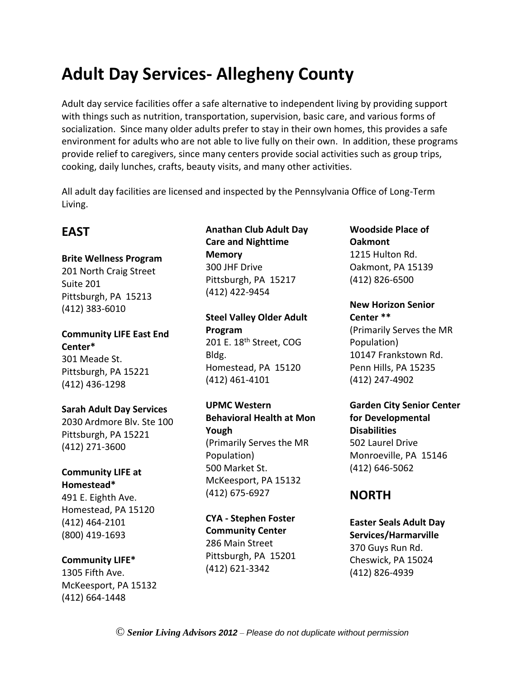## **Adult Day Services- Allegheny County**

Adult day service facilities offer a safe alternative to independent living by providing support with things such as nutrition, transportation, supervision, basic care, and various forms of socialization. Since many older adults prefer to stay in their own homes, this provides a safe environment for adults who are not able to live fully on their own. In addition, these programs provide relief to caregivers, since many centers provide social activities such as group trips, cooking, daily lunches, crafts, beauty visits, and many other activities.

All adult day facilities are licensed and inspected by the Pennsylvania Office of Long-Term Living.

## **EAST**

**Brite Wellness Program** 201 North Craig Street Suite 201 Pittsburgh, PA 15213 (412) 383-6010

**Community LIFE East End Center\*** 301 Meade St. Pittsburgh, PA 15221 (412) 436-1298

### **Sarah Adult Day Services**

2030 Ardmore Blv. Ste 100 Pittsburgh, PA 15221 (412) 271-3600

### **Community LIFE at Homestead\***

491 E. Eighth Ave. Homestead, PA 15120 (412) 464-2101 (800) 419-1693

### **Community LIFE\***

1305 Fifth Ave. McKeesport, PA 15132 (412) 664-1448

## **Anathan Club Adult Day Care and Nighttime Memory** 300 JHF Drive Pittsburgh, PA 15217 (412) 422-9454

**Steel Valley Older Adult Program** 201 E. 18<sup>th</sup> Street, COG Bldg. Homestead, PA 15120 (412) 461-4101

**UPMC Western Behavioral Health at Mon Yough** (Primarily Serves the MR Population) 500 Market St. McKeesport, PA 15132 (412) 675-6927

**CYA - Stephen Foster Community Center** 286 Main Street Pittsburgh, PA 15201 (412) 621-3342

**Woodside Place of Oakmont** 1215 Hulton Rd. Oakmont, PA 15139 (412) 826-6500

**New Horizon Senior Center \*\*** (Primarily Serves the MR Population) 10147 Frankstown Rd. Penn Hills, PA 15235 (412) 247-4902

**Garden City Senior Center for Developmental Disabilities** 502 Laurel Drive Monroeville, PA 15146 (412) 646-5062

## **NORTH**

**Easter Seals Adult Day Services/Harmarville** 370 Guys Run Rd. Cheswick, PA 15024 (412) 826-4939